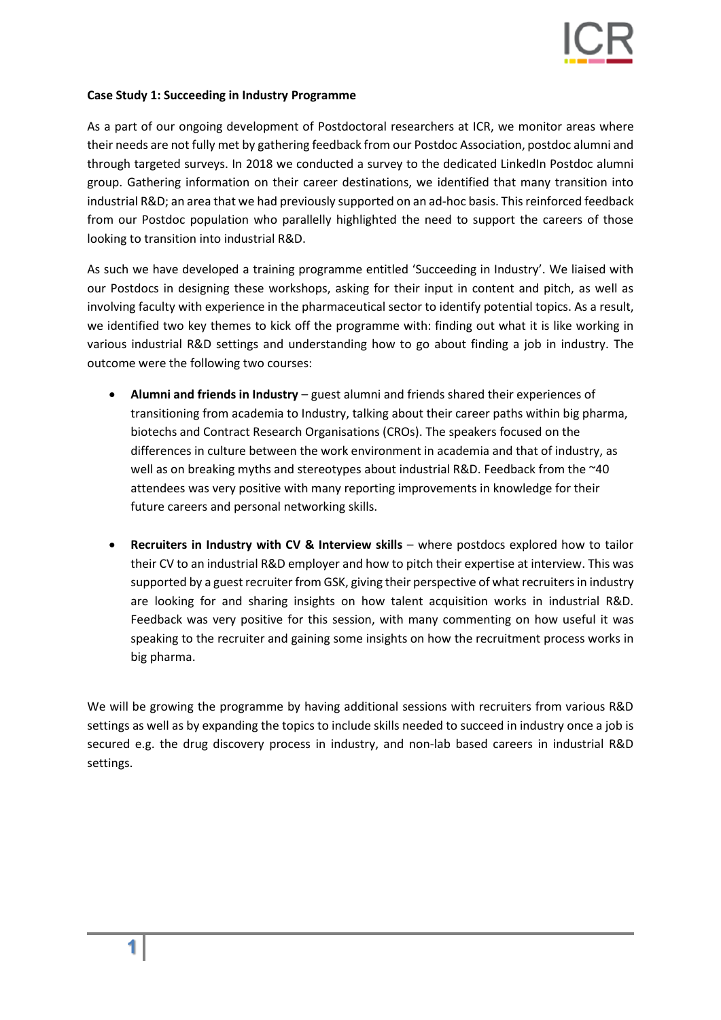

## **Case Study 1: Succeeding in Industry Programme**

As a part of our ongoing development of Postdoctoral researchers at ICR, we monitor areas where their needs are not fully met by gathering feedback from our Postdoc Association, postdoc alumni and through targeted surveys. In 2018 we conducted a survey to the dedicated LinkedIn Postdoc alumni group. Gathering information on their career destinations, we identified that many transition into industrial R&D; an area that we had previously supported on an ad-hoc basis. This reinforced feedback from our Postdoc population who parallelly highlighted the need to support the careers of those looking to transition into industrial R&D.

As such we have developed a training programme entitled 'Succeeding in Industry'. We liaised with our Postdocs in designing these workshops, asking for their input in content and pitch, as well as involving faculty with experience in the pharmaceutical sector to identify potential topics. As a result, we identified two key themes to kick off the programme with: finding out what it is like working in various industrial R&D settings and understanding how to go about finding a job in industry. The outcome were the following two courses:

- **Alumni and friends in Industry** guest alumni and friends shared their experiences of transitioning from academia to Industry, talking about their career paths within big pharma, biotechs and Contract Research Organisations (CROs). The speakers focused on the differences in culture between the work environment in academia and that of industry, as well as on breaking myths and stereotypes about industrial R&D. Feedback from the ~40 attendees was very positive with many reporting improvements in knowledge for their future careers and personal networking skills.
- **Recruiters in Industry with CV & Interview skills** where postdocs explored how to tailor their CV to an industrial R&D employer and how to pitch their expertise at interview. This was supported by a guest recruiter from GSK, giving their perspective of what recruiters in industry are looking for and sharing insights on how talent acquisition works in industrial R&D. Feedback was very positive for this session, with many commenting on how useful it was speaking to the recruiter and gaining some insights on how the recruitment process works in big pharma.

We will be growing the programme by having additional sessions with recruiters from various R&D settings as well as by expanding the topics to include skills needed to succeed in industry once a job is secured e.g. the drug discovery process in industry, and non-lab based careers in industrial R&D settings.